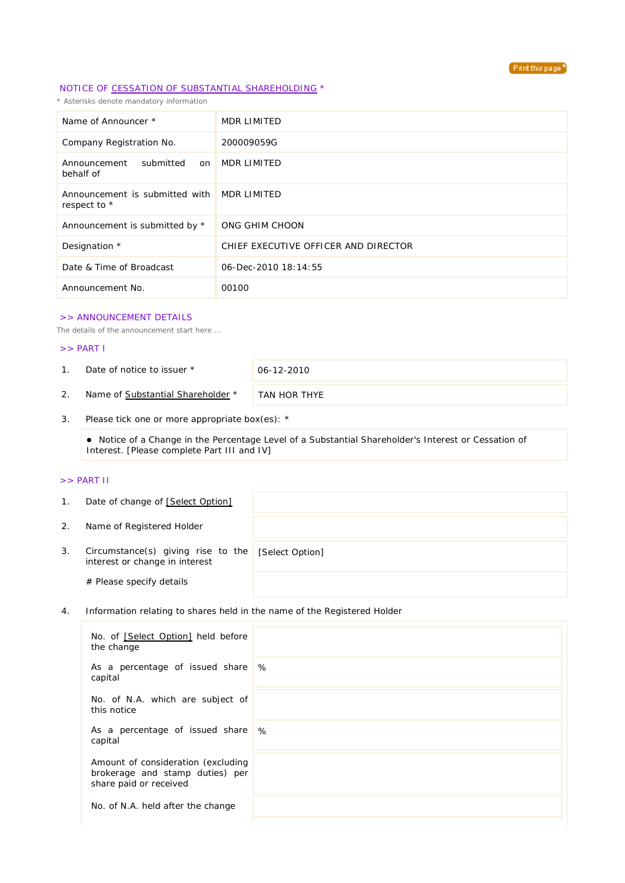

## NOTICE OF CESSATION OF SUBSTANTIAL SHAREHOLDING \*

*\* Asterisks denote mandatory information*

| Name of Announcer *                                        | MDR LIMITED                          |
|------------------------------------------------------------|--------------------------------------|
| Company Registration No.                                   | 200009059G                           |
| Announcement<br>submitted<br>on<br>behalf of               | MDR LIMITED                          |
| Announcement is submitted with MDR LIMITED<br>respect to * |                                      |
| Announcement is submitted by *                             | ONG GHIM CHOON                       |
| Designation *                                              | CHIEF EXECUTIVE OFFICER AND DIRECTOR |
| Date & Time of Broadcast                                   | 06-Dec-2010 18:14:55                 |
| Announcement No.                                           | 00100                                |

#### >> ANNOUNCEMENT DETAILS

*The details of the announcement start here ...*

# >> PART I

1. Date of notice to issuer \* 06-12-2010

2. Name of Substantial Shareholder \* TAN HOR THYE

3. Please tick one or more appropriate box(es): \*

 Notice of a Change in the Percentage Level of a Substantial Shareholder's Interest or Cessation of Interest. [Please complete Part III and IV]

### >> PART II

| $\mathbf{1}$ . | Date of change of [Select Option]                                    |                 |
|----------------|----------------------------------------------------------------------|-----------------|
| 2.             | Name of Registered Holder                                            |                 |
| 3.             | Circumstance(s) giving rise to the<br>interest or change in interest | [Select Option] |
|                | # Please specify details                                             |                 |

4. Information relating to shares held in the name of the Registered Holder

| No. of [Select Option] held before<br>the change                                                |   |
|-------------------------------------------------------------------------------------------------|---|
| As a percentage of issued share<br>capital                                                      | % |
| No. of N.A. which are subject of<br>this notice                                                 |   |
| As a percentage of issued share \%<br>capital                                                   |   |
| Amount of consideration (excluding<br>brokerage and stamp duties) per<br>share paid or received |   |
| No. of N.A. held after the change                                                               |   |